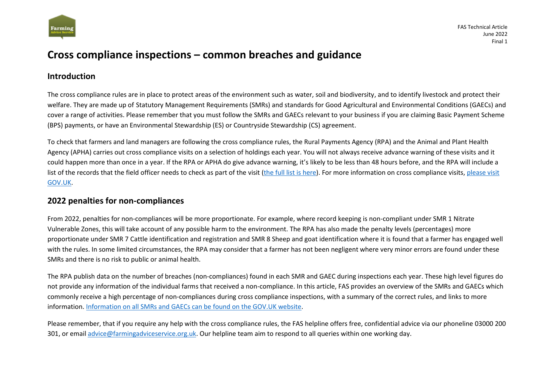

## **Cross compliance inspections – common breaches and guidance**

## **Introduction**

The cross compliance rules are in place to protect areas of the environment such as water, soil and biodiversity, and to identify livestock and protect their welfare. They are made up of Statutory Management Requirements (SMRs) and standards for Good Agricultural and Environmental Conditions (GAECs) and cover a range of activities. Please remember that you must follow the SMRs and GAECs relevant to your business if you are claiming Basic Payment Scheme (BPS) payments, or have an Environmental Stewardship (ES) or Countryside Stewardship (CS) agreement.

To check that farmers and land managers are following the cross compliance rules, the Rural Payments Agency (RPA) and the Animal and Plant Health Agency (APHA) carries out cross compliance visits on a selection of holdings each year. You will not always receive advance warning of these visits and it could happen more than once in a year. If the RPA or APHA do give advance warning, it's likely to be less than 48 hours before, and the RPA will include a list of the records that the field officer needs to check as part of the visit [\(the full list is here\)](https://www.gov.uk/government/publications/cross-compliance-inspections-information-needed-for-an-inspection/cross-compliance-inspections-information-needed-for-an-inspection). For more information on cross compliance visits, please visit [GOV.UK.](https://www.gov.uk/guidance/guide-to-cross-compliance-in-england-2022/inspections)

## **2022 penalties for non-compliances**

From 2022, penalties for non-compliances will be more proportionate. For example, where record keeping is non-compliant under SMR 1 Nitrate Vulnerable Zones, this will take account of any possible harm to the environment. The RPA has also made the penalty levels (percentages) more proportionate under SMR 7 Cattle identification and registration and SMR 8 Sheep and goat identification where it is found that a farmer has engaged well with the rules. In some limited circumstances, the RPA may consider that a farmer has not been negligent where very minor errors are found under these SMRs and there is no risk to public or animal health.

The RPA publish data on the number of breaches (non-compliances) found in each SMR and GAEC during inspections each year. These high level figures do not provide any information of the individual farms that received a non-compliance. In this article, FAS provides an overview of the SMRs and GAECs which commonly receive a high percentage of non-compliances during cross compliance inspections, with a summary of the correct rules, and links to more information. [Information on all SMRs and GAECs can be found on the GOV.UK website.](https://www.gov.uk/guidance/guide-to-cross-compliance-in-england-2022)

Please remember, that if you require any help with the cross compliance rules, the FAS helpline offers free, confidential advice via our phoneline 03000 200 301, or email [advice@farmingadviceservice.org.uk.](mailto:advice@farmingadviceservice.org.uk) Our helpline team aim to respond to all queries within one working day.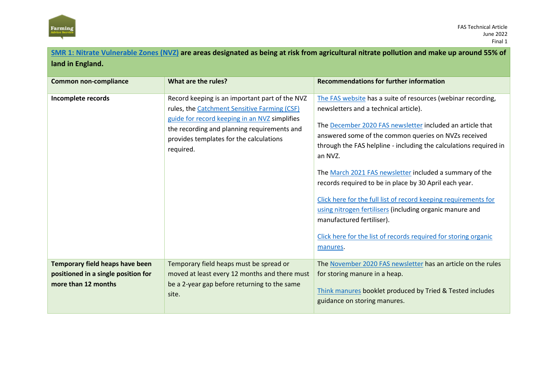

[Think manures](https://www.nutrientmanagement.org/tried-and-tested/3-think-manures-2017/) booklet produced by Tried & Tested includes

guidance on storing manures.

| SMR 1: Nitrate Vulnerable Zones (NVZ) are areas designated as being at risk from agricultural nitrate pollution and make up around 55% of |                                                                                                                                                                                                                                                        |                                                                                                                                                                                                                                                                                                                                                                                                                                                                                                                                                                                                                                                                            |  |
|-------------------------------------------------------------------------------------------------------------------------------------------|--------------------------------------------------------------------------------------------------------------------------------------------------------------------------------------------------------------------------------------------------------|----------------------------------------------------------------------------------------------------------------------------------------------------------------------------------------------------------------------------------------------------------------------------------------------------------------------------------------------------------------------------------------------------------------------------------------------------------------------------------------------------------------------------------------------------------------------------------------------------------------------------------------------------------------------------|--|
| land in England.                                                                                                                          |                                                                                                                                                                                                                                                        |                                                                                                                                                                                                                                                                                                                                                                                                                                                                                                                                                                                                                                                                            |  |
| <b>Common non-compliance</b>                                                                                                              | What are the rules?                                                                                                                                                                                                                                    | <b>Recommendations for further information</b>                                                                                                                                                                                                                                                                                                                                                                                                                                                                                                                                                                                                                             |  |
| Incomplete records                                                                                                                        | Record keeping is an important part of the NVZ<br>rules, the Catchment Sensitive Farming (CSF)<br>guide for record keeping in an NVZ simplifies<br>the recording and planning requirements and<br>provides templates for the calculations<br>required. | The FAS website has a suite of resources (webinar recording,<br>newsletters and a technical article).<br>The December 2020 FAS newsletter included an article that<br>answered some of the common queries on NVZs received<br>through the FAS helpline - including the calculations required in<br>an NVZ.<br>The March 2021 FAS newsletter included a summary of the<br>records required to be in place by 30 April each year.<br>Click here for the full list of record keeping requirements for<br>using nitrogen fertilisers (including organic manure and<br>manufactured fertiliser).<br>Click here for the list of records required for storing organic<br>manures. |  |
| Temporary field heaps have been<br>positioned in a single position for<br>more than 12 months                                             | Temporary field heaps must be spread or<br>moved at least every 12 months and there must<br>be a 2-year gap before returning to the same                                                                                                               | The November 2020 FAS newsletter has an article on the rules<br>for storing manure in a heap.                                                                                                                                                                                                                                                                                                                                                                                                                                                                                                                                                                              |  |

site.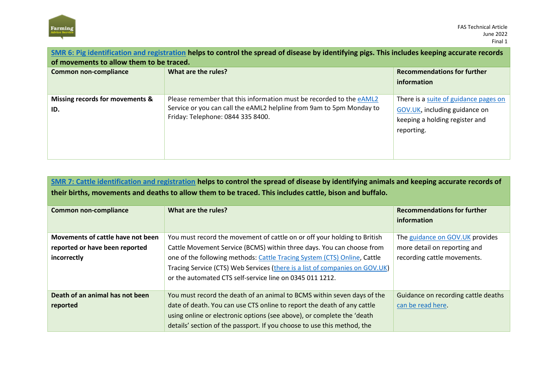

| SMR 6: Pig identification and registration helps to control the spread of disease by identifying pigs. This includes keeping accurate records<br>of movements to allow them to be traced. |                                                                                                                                                                                  |                                                                                                                        |
|-------------------------------------------------------------------------------------------------------------------------------------------------------------------------------------------|----------------------------------------------------------------------------------------------------------------------------------------------------------------------------------|------------------------------------------------------------------------------------------------------------------------|
| <b>Common non-compliance</b>                                                                                                                                                              | What are the rules?                                                                                                                                                              | <b>Recommendations for further</b><br>information                                                                      |
| Missing records for movements &<br>ID.                                                                                                                                                    | Please remember that this information must be recorded to the eAML2<br>Service or you can call the eAML2 helpline from 9am to 5pm Monday to<br>Friday: Telephone: 0844 335 8400. | There is a suite of guidance pages on<br>GOV.UK, including guidance on<br>keeping a holding register and<br>reporting. |

| SMR 7: Cattle identification and registration helps to control the spread of disease by identifying animals and keeping accurate records of<br>their births, movements and deaths to allow them to be traced. This includes cattle, bison and buffalo. |                                                                             |                                     |
|--------------------------------------------------------------------------------------------------------------------------------------------------------------------------------------------------------------------------------------------------------|-----------------------------------------------------------------------------|-------------------------------------|
| <b>Common non-compliance</b>                                                                                                                                                                                                                           | What are the rules?                                                         | <b>Recommendations for further</b>  |
|                                                                                                                                                                                                                                                        |                                                                             | information                         |
| Movements of cattle have not been                                                                                                                                                                                                                      | You must record the movement of cattle on or off your holding to British    | The guidance on GOV.UK provides     |
| reported or have been reported                                                                                                                                                                                                                         | Cattle Movement Service (BCMS) within three days. You can choose from       | more detail on reporting and        |
| incorrectly                                                                                                                                                                                                                                            | one of the following methods: Cattle Tracing System (CTS) Online, Cattle    | recording cattle movements.         |
|                                                                                                                                                                                                                                                        | Tracing Service (CTS) Web Services (there is a list of companies on GOV.UK) |                                     |
|                                                                                                                                                                                                                                                        | or the automated CTS self-service line on 0345 011 1212.                    |                                     |
| Death of an animal has not been                                                                                                                                                                                                                        | You must record the death of an animal to BCMS within seven days of the     | Guidance on recording cattle deaths |
| reported                                                                                                                                                                                                                                               | date of death. You can use CTS online to report the death of any cattle     | can be read here.                   |
|                                                                                                                                                                                                                                                        | using online or electronic options (see above), or complete the 'death      |                                     |
|                                                                                                                                                                                                                                                        | details' section of the passport. If you choose to use this method, the     |                                     |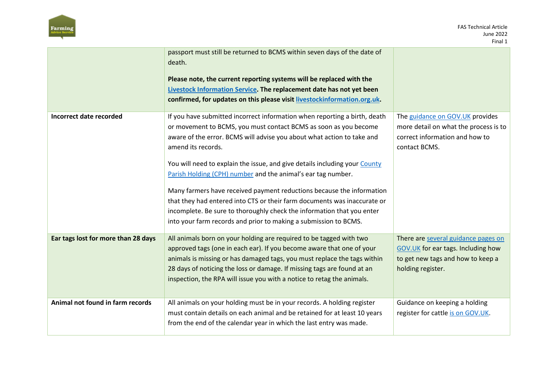

|                                     | passport must still be returned to BCMS within seven days of the date of<br>death.<br>Please note, the current reporting systems will be replaced with the<br>Livestock Information Service. The replacement date has not yet been<br>confirmed, for updates on this please visit livestockinformation.org.uk.                                                                                                                                                                                                                                                                                                                                                                                 |                                                                                                                                     |
|-------------------------------------|------------------------------------------------------------------------------------------------------------------------------------------------------------------------------------------------------------------------------------------------------------------------------------------------------------------------------------------------------------------------------------------------------------------------------------------------------------------------------------------------------------------------------------------------------------------------------------------------------------------------------------------------------------------------------------------------|-------------------------------------------------------------------------------------------------------------------------------------|
| Incorrect date recorded             | If you have submitted incorrect information when reporting a birth, death<br>or movement to BCMS, you must contact BCMS as soon as you become<br>aware of the error. BCMS will advise you about what action to take and<br>amend its records.<br>You will need to explain the issue, and give details including your County<br>Parish Holding (CPH) number and the animal's ear tag number.<br>Many farmers have received payment reductions because the information<br>that they had entered into CTS or their farm documents was inaccurate or<br>incomplete. Be sure to thoroughly check the information that you enter<br>into your farm records and prior to making a submission to BCMS. | The guidance on GOV.UK provides<br>more detail on what the process is to<br>correct information and how to<br>contact BCMS.         |
| Ear tags lost for more than 28 days | All animals born on your holding are required to be tagged with two<br>approved tags (one in each ear). If you become aware that one of your<br>animals is missing or has damaged tags, you must replace the tags within<br>28 days of noticing the loss or damage. If missing tags are found at an<br>inspection, the RPA will issue you with a notice to retag the animals.                                                                                                                                                                                                                                                                                                                  | There are several guidance pages on<br>GOV.UK for ear tags. Including how<br>to get new tags and how to keep a<br>holding register. |
| Animal not found in farm records    | All animals on your holding must be in your records. A holding register<br>must contain details on each animal and be retained for at least 10 years<br>from the end of the calendar year in which the last entry was made.                                                                                                                                                                                                                                                                                                                                                                                                                                                                    | Guidance on keeping a holding<br>register for cattle is on GOV.UK.                                                                  |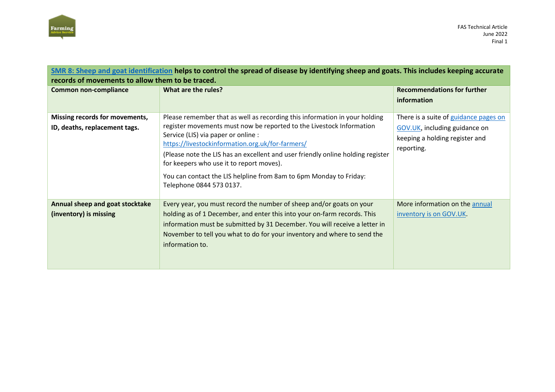

| SMR 8: Sheep and goat identification helps to control the spread of disease by identifying sheep and goats. This includes keeping accurate<br>records of movements to allow them to be traced. |                                                                                                                                                                                                                                                                                                                                                                                                                                                                                |                                                                                                                        |
|------------------------------------------------------------------------------------------------------------------------------------------------------------------------------------------------|--------------------------------------------------------------------------------------------------------------------------------------------------------------------------------------------------------------------------------------------------------------------------------------------------------------------------------------------------------------------------------------------------------------------------------------------------------------------------------|------------------------------------------------------------------------------------------------------------------------|
| <b>Common non-compliance</b>                                                                                                                                                                   | What are the rules?                                                                                                                                                                                                                                                                                                                                                                                                                                                            | <b>Recommendations for further</b><br>information                                                                      |
| Missing records for movements,<br>ID, deaths, replacement tags.                                                                                                                                | Please remember that as well as recording this information in your holding<br>register movements must now be reported to the Livestock Information<br>Service (LIS) via paper or online :<br>https://livestockinformation.org.uk/for-farmers/<br>(Please note the LIS has an excellent and user friendly online holding register<br>for keepers who use it to report moves).<br>You can contact the LIS helpline from 8am to 6pm Monday to Friday:<br>Telephone 0844 573 0137. | There is a suite of guidance pages on<br>GOV.UK, including guidance on<br>keeping a holding register and<br>reporting. |
| Annual sheep and goat stocktake<br>(inventory) is missing                                                                                                                                      | Every year, you must record the number of sheep and/or goats on your<br>holding as of 1 December, and enter this into your on-farm records. This<br>information must be submitted by 31 December. You will receive a letter in<br>November to tell you what to do for your inventory and where to send the<br>information to.                                                                                                                                                  | More information on the annual<br>inventory is on GOV.UK.                                                              |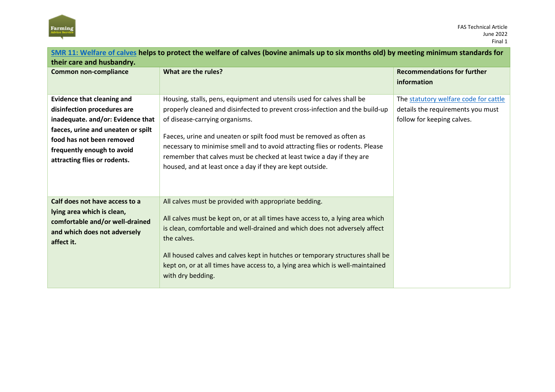

| SMR 11: Welfare of calves helps to protect the welfare of calves (bovine animals up to six months old) by meeting minimum standards for |                                                                                |                                       |
|-----------------------------------------------------------------------------------------------------------------------------------------|--------------------------------------------------------------------------------|---------------------------------------|
| their care and husbandry.                                                                                                               |                                                                                |                                       |
| <b>Common non-compliance</b>                                                                                                            | What are the rules?                                                            | <b>Recommendations for further</b>    |
|                                                                                                                                         |                                                                                | information                           |
| <b>Evidence that cleaning and</b>                                                                                                       | Housing, stalls, pens, equipment and utensils used for calves shall be         | The statutory welfare code for cattle |
| disinfection procedures are                                                                                                             | properly cleaned and disinfected to prevent cross-infection and the build-up   | details the requirements you must     |
|                                                                                                                                         |                                                                                |                                       |
| inadequate. and/or: Evidence that                                                                                                       | of disease-carrying organisms.                                                 | follow for keeping calves.            |
| faeces, urine and uneaten or spilt                                                                                                      | Faeces, urine and uneaten or spilt food must be removed as often as            |                                       |
| food has not been removed                                                                                                               | necessary to minimise smell and to avoid attracting flies or rodents. Please   |                                       |
| frequently enough to avoid                                                                                                              | remember that calves must be checked at least twice a day if they are          |                                       |
| attracting flies or rodents.                                                                                                            | housed, and at least once a day if they are kept outside.                      |                                       |
|                                                                                                                                         |                                                                                |                                       |
|                                                                                                                                         |                                                                                |                                       |
|                                                                                                                                         |                                                                                |                                       |
| Calf does not have access to a                                                                                                          | All calves must be provided with appropriate bedding.                          |                                       |
| lying area which is clean,                                                                                                              |                                                                                |                                       |
| comfortable and/or well-drained                                                                                                         | All calves must be kept on, or at all times have access to, a lying area which |                                       |
| and which does not adversely                                                                                                            | is clean, comfortable and well-drained and which does not adversely affect     |                                       |
| affect it.                                                                                                                              | the calves.                                                                    |                                       |
|                                                                                                                                         | All housed calves and calves kept in hutches or temporary structures shall be  |                                       |
|                                                                                                                                         | kept on, or at all times have access to, a lying area which is well-maintained |                                       |
|                                                                                                                                         | with dry bedding.                                                              |                                       |
|                                                                                                                                         |                                                                                |                                       |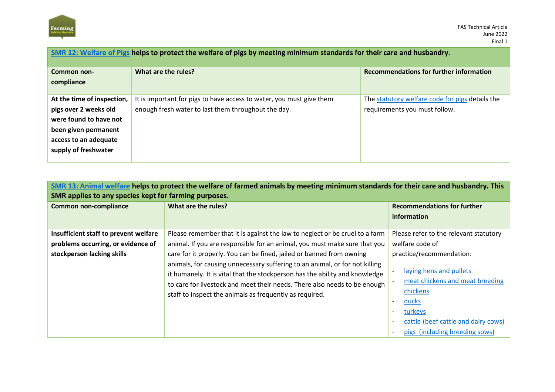

| SMR 12: Welfare of Pigs helps to protect the welfare of pigs by meeting minimum standards for their care and husbandry. |                                                                                                                             |                                                                                  |  |
|-------------------------------------------------------------------------------------------------------------------------|-----------------------------------------------------------------------------------------------------------------------------|----------------------------------------------------------------------------------|--|
| Common non-<br>compliance                                                                                               | What are the rules?                                                                                                         | <b>Recommendations for further information</b>                                   |  |
| At the time of inspection,<br>pigs over 2 weeks old<br>were found to have not                                           | It is important for pigs to have access to water, you must give them<br>enough fresh water to last them throughout the day. | The statutory welfare code for pigs details the<br>requirements you must follow. |  |
| been given permanent<br>access to an adequate<br>supply of freshwater                                                   |                                                                                                                             |                                                                                  |  |

| SMR 13: Animal welfare helps to protect the welfare of farmed animals by meeting minimum standards for their care and husbandry. This |  |
|---------------------------------------------------------------------------------------------------------------------------------------|--|
| SMR applies to any species kept for farming purposes.                                                                                 |  |

| <b>Common non-compliance</b>                                                                              | What are the rules?                                                                                                                                                                                                                                                                                                                                                                                                                                                                                                                    | <b>Recommendations for further</b><br>information                                                                                                                                                                                                                                        |
|-----------------------------------------------------------------------------------------------------------|----------------------------------------------------------------------------------------------------------------------------------------------------------------------------------------------------------------------------------------------------------------------------------------------------------------------------------------------------------------------------------------------------------------------------------------------------------------------------------------------------------------------------------------|------------------------------------------------------------------------------------------------------------------------------------------------------------------------------------------------------------------------------------------------------------------------------------------|
| Insufficient staff to prevent welfare<br>problems occurring, or evidence of<br>stockperson lacking skills | Please remember that it is against the law to neglect or be cruel to a farm<br>animal. If you are responsible for an animal, you must make sure that you<br>care for it properly. You can be fined, jailed or banned from owning<br>animals, for causing unnecessary suffering to an animal, or for not killing<br>it humanely. It is vital that the stockperson has the ability and knowledge<br>to care for livestock and meet their needs. There also needs to be enough<br>staff to inspect the animals as frequently as required. | Please refer to the relevant statutory<br>welfare code of<br>practice/recommendation:<br>laying hens and pullets<br>meat chickens and meat breeding<br>chickens<br>ducks<br>turkeys<br>$\overline{\phantom{a}}$<br>cattle (beef cattle and dairy cows)<br>pigs (including breeding sows) |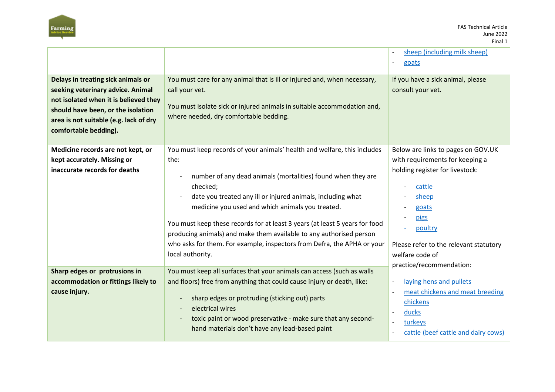

|                                                                                                                                                                                                                           |                                                                                                                                                                                                                                                                                                                                                                                                                                                                                                                                                                      | sheep (including milk sheep)<br>goats                                                                                                                                                                                                            |
|---------------------------------------------------------------------------------------------------------------------------------------------------------------------------------------------------------------------------|----------------------------------------------------------------------------------------------------------------------------------------------------------------------------------------------------------------------------------------------------------------------------------------------------------------------------------------------------------------------------------------------------------------------------------------------------------------------------------------------------------------------------------------------------------------------|--------------------------------------------------------------------------------------------------------------------------------------------------------------------------------------------------------------------------------------------------|
| Delays in treating sick animals or<br>seeking veterinary advice. Animal<br>not isolated when it is believed they<br>should have been, or the isolation<br>area is not suitable (e.g. lack of dry<br>comfortable bedding). | You must care for any animal that is ill or injured and, when necessary,<br>call your vet.<br>You must isolate sick or injured animals in suitable accommodation and,<br>where needed, dry comfortable bedding.                                                                                                                                                                                                                                                                                                                                                      | If you have a sick animal, please<br>consult your vet.                                                                                                                                                                                           |
| Medicine records are not kept, or<br>kept accurately. Missing or<br>inaccurate records for deaths                                                                                                                         | You must keep records of your animals' health and welfare, this includes<br>the:<br>number of any dead animals (mortalities) found when they are<br>$\qquad \qquad \blacksquare$<br>checked;<br>date you treated any ill or injured animals, including what<br>medicine you used and which animals you treated.<br>You must keep these records for at least 3 years (at least 5 years for food<br>producing animals) and make them available to any authorised person<br>who asks for them. For example, inspectors from Defra, the APHA or your<br>local authority. | Below are links to pages on GOV.UK<br>with requirements for keeping a<br>holding register for livestock:<br>cattle<br>sheep<br>goats<br>pigs<br>poultry<br>Please refer to the relevant statutory<br>welfare code of<br>practice/recommendation: |
| Sharp edges or protrusions in<br>accommodation or fittings likely to<br>cause injury.                                                                                                                                     | You must keep all surfaces that your animals can access (such as walls<br>and floors) free from anything that could cause injury or death, like:<br>sharp edges or protruding (sticking out) parts<br>electrical wires<br>toxic paint or wood preservative - make sure that any second-<br>hand materials don't have any lead-based paint                                                                                                                                                                                                                            | laying hens and pullets<br>$\blacksquare$<br>meat chickens and meat breeding<br>chickens<br>ducks<br>$\overline{\phantom{a}}$<br>turkeys<br>cattle (beef cattle and dairy cows)                                                                  |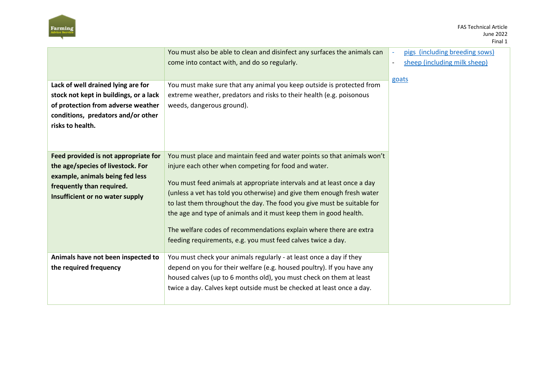

|                                                                                                                                                                              | You must also be able to clean and disinfect any surfaces the animals can<br>come into contact with, and do so regularly.                                                                                                                                                                                                                                                                                                                                                                                                                                                 | pigs (including breeding sows)<br>sheep (including milk sheep)<br>$\overline{\phantom{a}}$<br>goats |
|------------------------------------------------------------------------------------------------------------------------------------------------------------------------------|---------------------------------------------------------------------------------------------------------------------------------------------------------------------------------------------------------------------------------------------------------------------------------------------------------------------------------------------------------------------------------------------------------------------------------------------------------------------------------------------------------------------------------------------------------------------------|-----------------------------------------------------------------------------------------------------|
| Lack of well drained lying are for<br>stock not kept in buildings, or a lack<br>of protection from adverse weather<br>conditions, predators and/or other<br>risks to health. | You must make sure that any animal you keep outside is protected from<br>extreme weather, predators and risks to their health (e.g. poisonous<br>weeds, dangerous ground).                                                                                                                                                                                                                                                                                                                                                                                                |                                                                                                     |
| Feed provided is not appropriate for<br>the age/species of livestock. For<br>example, animals being fed less<br>frequently than required.<br>Insufficient or no water supply | You must place and maintain feed and water points so that animals won't<br>injure each other when competing for food and water.<br>You must feed animals at appropriate intervals and at least once a day<br>(unless a vet has told you otherwise) and give them enough fresh water<br>to last them throughout the day. The food you give must be suitable for<br>the age and type of animals and it must keep them in good health.<br>The welfare codes of recommendations explain where there are extra<br>feeding requirements, e.g. you must feed calves twice a day. |                                                                                                     |
| Animals have not been inspected to<br>the required frequency                                                                                                                 | You must check your animals regularly - at least once a day if they<br>depend on you for their welfare (e.g. housed poultry). If you have any<br>housed calves (up to 6 months old), you must check on them at least<br>twice a day. Calves kept outside must be checked at least once a day.                                                                                                                                                                                                                                                                             |                                                                                                     |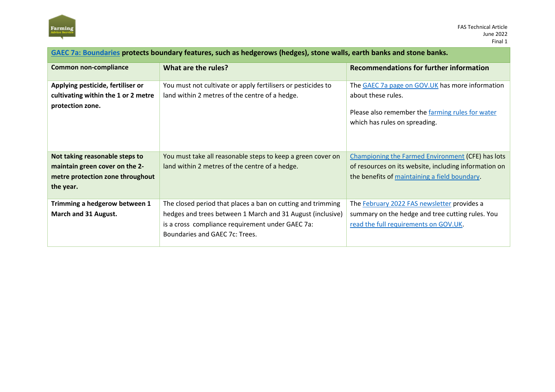

| GAEC 7a: Boundaries protects boundary features, such as hedgerows (hedges), stone walls, earth banks and stone banks. |                                                                                                                                                                                                                 |                                                                                                                                                                    |  |
|-----------------------------------------------------------------------------------------------------------------------|-----------------------------------------------------------------------------------------------------------------------------------------------------------------------------------------------------------------|--------------------------------------------------------------------------------------------------------------------------------------------------------------------|--|
| <b>Common non-compliance</b>                                                                                          | What are the rules?                                                                                                                                                                                             | <b>Recommendations for further information</b>                                                                                                                     |  |
| Applying pesticide, fertiliser or<br>cultivating within the 1 or 2 metre<br>protection zone.                          | You must not cultivate or apply fertilisers or pesticides to<br>land within 2 metres of the centre of a hedge.                                                                                                  | The GAEC 7a page on GOV.UK has more information<br>about these rules.<br>Please also remember the farming rules for water<br>which has rules on spreading.         |  |
| Not taking reasonable steps to<br>maintain green cover on the 2-<br>metre protection zone throughout<br>the year.     | You must take all reasonable steps to keep a green cover on<br>land within 2 metres of the centre of a hedge.                                                                                                   | <b>Championing the Farmed Environment (CFE) has lots</b><br>of resources on its website, including information on<br>the benefits of maintaining a field boundary. |  |
| Trimming a hedgerow between 1<br>March and 31 August.                                                                 | The closed period that places a ban on cutting and trimming<br>hedges and trees between 1 March and 31 August (inclusive)<br>is a cross compliance requirement under GAEC 7a:<br>Boundaries and GAEC 7c: Trees. | The February 2022 FAS newsletter provides a<br>summary on the hedge and tree cutting rules. You<br>read the full requirements on GOV.UK.                           |  |